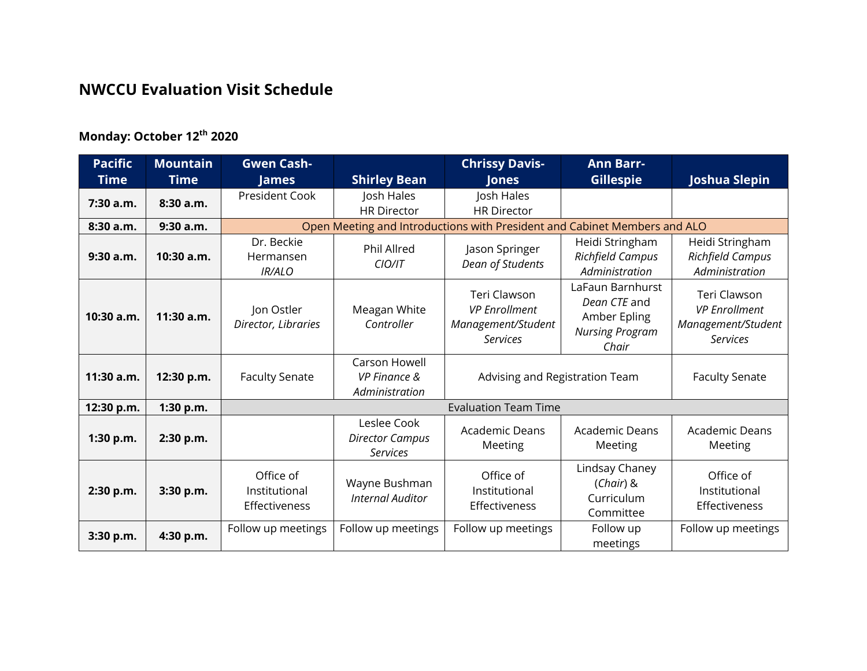## **NWCCU Evaluation Visit Schedule**

## **Monday: October 12th 2020**

| <b>Pacific</b> | <b>Mountain</b> | <b>Gwen Cash-</b>                                                         |                                                            | <b>Chrissy Davis-</b>                                                         | <b>Ann Barr-</b>                                                                    |                                                                               |  |  |
|----------------|-----------------|---------------------------------------------------------------------------|------------------------------------------------------------|-------------------------------------------------------------------------------|-------------------------------------------------------------------------------------|-------------------------------------------------------------------------------|--|--|
| <b>Time</b>    | <b>Time</b>     | James                                                                     | <b>Shirley Bean</b>                                        | <b>Jones</b>                                                                  | <b>Gillespie</b>                                                                    | <b>Joshua Slepin</b>                                                          |  |  |
| $7:30$ a.m.    | 8:30 a.m.       | President Cook                                                            | Josh Hales<br><b>HR Director</b>                           | Josh Hales<br><b>HR Director</b>                                              |                                                                                     |                                                                               |  |  |
| 8:30 a.m.      | 9:30a.m.        | Open Meeting and Introductions with President and Cabinet Members and ALO |                                                            |                                                                               |                                                                                     |                                                                               |  |  |
| 9:30 a.m.      | 10:30 a.m.      | Dr. Beckie<br>Hermansen<br><b>IR/ALO</b>                                  | <b>Phil Allred</b><br>CIO/IT                               | Jason Springer<br>Dean of Students                                            | Heidi Stringham<br><b>Richfield Campus</b><br>Administration                        | Heidi Stringham<br><b>Richfield Campus</b><br>Administration                  |  |  |
| 10:30 a.m.     | 11:30 a.m.      | Jon Ostler<br>Director, Libraries                                         | Meagan White<br>Controller                                 | Teri Clawson<br><b>VP</b> Enrollment<br>Management/Student<br><b>Services</b> | LaFaun Barnhurst<br>Dean CTE and<br>Amber Epling<br><b>Nursing Program</b><br>Chair | Teri Clawson<br><b>VP</b> Enrollment<br>Management/Student<br><b>Services</b> |  |  |
| 11:30 a.m.     | 12:30 p.m.      | <b>Faculty Senate</b>                                                     | Carson Howell<br><b>VP Finance &amp;</b><br>Administration | Advising and Registration Team                                                |                                                                                     | <b>Faculty Senate</b>                                                         |  |  |
| 12:30 p.m.     | 1:30 p.m.       | <b>Evaluation Team Time</b>                                               |                                                            |                                                                               |                                                                                     |                                                                               |  |  |
| 1:30 p.m.      | 2:30 p.m.       |                                                                           | Leslee Cook<br><b>Director Campus</b><br><b>Services</b>   | Academic Deans<br>Meeting                                                     | <b>Academic Deans</b><br>Meeting                                                    | <b>Academic Deans</b><br>Meeting                                              |  |  |
| 2:30 p.m.      | 3:30 p.m.       | Office of<br>Institutional<br>Effectiveness                               | Wayne Bushman<br><b>Internal Auditor</b>                   | Office of<br>Institutional<br>Effectiveness                                   | Lindsay Chaney<br>$(Chair)$ &<br>Curriculum<br>Committee                            | Office of<br>Institutional<br>Effectiveness                                   |  |  |
| 3:30 p.m.      | 4:30 p.m.       | Follow up meetings                                                        | Follow up meetings                                         | Follow up meetings                                                            | Follow up<br>meetings                                                               | Follow up meetings                                                            |  |  |